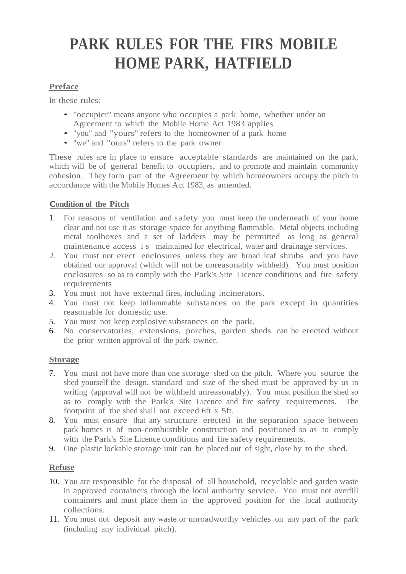# **PARK RULES FOR THE FIRS MOBILE HOME PARK, HATFIELD**

# **Preface**

In these rules:

- "occupier" means anyone who occupies <sup>a</sup> park home, whether under an Agreement to which the Mobile Home Act 1983 applies
- "you" and "yours" refers to the homeowner of <sup>a</sup> park home
- "we" and "ours" refers to the park owner

These rules are in place to ensure acceptable standards are maintained on the park, which will be of general benefit to occupiers, and to promote and maintain community cohesion. They form part of the Agreement by which homeowners occupy the pitch in accordance with the Mobile Homes Act 1983, as amended.

# **Condition of the Pitch**

- 1. For reasons of ventilation and safety you must keep the underneath of your home clear and not use it as storage space for anything flammable. Metal objects including metal toolboxes and a set of ladders may be permitted as long as general maintenance access is maintained for electrical, water and drainage services.
- 2. You must not erect enclosures unless they are broad leaf shrubs and you have obtained our approval (which will not be unreasonably withheld). You must position enclosures so as to comply with the Park's Site Licence conditions and fire safety requirements
- 3. You must not have external fires, including incinerators.
- 4. You must not keep inflammable substances on the park except in quantities reasonable for domestic use.
- 5. You must not keep explosive substances on the park.
- 6. No conservatories, extensions, porches, garden sheds can be erected without the prior written approval of the park owner.

# **Storage**

- 7. You must not have more than one storage shed on the pitch. Where you source the shed yourself the design, standard and size of the shed must be approved by us in writing (approval will not be withheld unreasonably). You must position the shed so as to comply with the Park's Site Licence and fire safety requirements. The footprint of the shed shall not exceed 6ft x 5ft.
- 8. You must ensure that any structure erected in the separation space between park homes is of non-combustible construction and positioned so as to comply with the Park's Site Licence conditions and fire safety requirements.
- 9. One plastic lockable storage unit can be placed out of sight, close by to the shed.

# **Refuse**

- 10. You are responsible for the disposal of all household, recyclable and garden waste in approved containers through the local authority service. You must not overfill containers and must place them in the approved position for the local authority collections.
- 11. You must not deposit any waste or unroadworthy vehicles on any part of the park (including any individual pitch).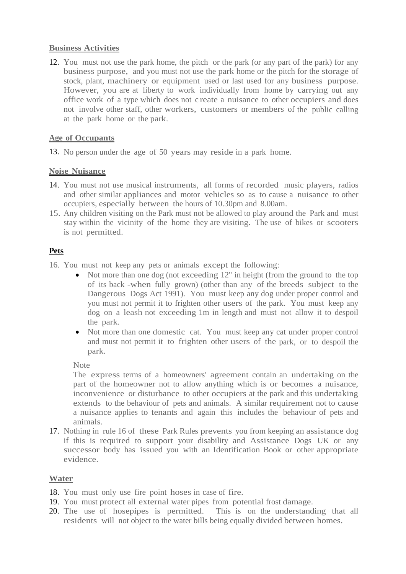# **Business Activities**

12. You must not use the park home, the pitch or the park (or any part of the park) for any business purpose, and you must not use the park home or the pitch for the storage of stock, plant, machinery or equipment used or last used for any business purpose. However, you are at liberty to work individually from home by carrying out any office work of a type which does not c reate a nuisance to other occupiers and does not involve other staff, other workers, customers or members of the public calling at the park home or the park.

# **Age of Occupants**

13. No person under the age of 50 years may reside in a park home.

#### **Noise Nuisance**

- 14. You must not use musical instruments, all forms of recorded music players, radios and other similar appliances and motor vehicles so as to cause a nuisance to other occupiers, especially between the hours of 10.30pm and 8.00am.
- 15. Any children visiting on the Park must not be allowed to play around the Park and must stay within the vicinity of the home they are visiting. The use of bikes or scooters is not permitted.

# **Pets**

- 16. You must not keep any pets or animals except the following:
	- Not more than one dog (not exceeding 12" in height (from the ground to the top of its back -when fully grown) (other than any of the breeds subject to the Dangerous Dogs Act 1991). You must keep any dog under proper control and you must not permit it to frighten other users of the park. You must keep any dog on a leash not exceeding 1m in length and must not allow it to despoil the park.
	- Not more than one domestic cat. You must keep any cat under proper control and must not permit it to frighten other users of the park, or to despoil the park.

#### **Note**

The express terms of a homeowners' agreement contain an undertaking on the part of the homeowner not to allow anything which is or becomes a nuisance, inconvenience or disturbance to other occupiers at the park and this undertaking extends to the behaviour of pets and animals. A similar requirement not to cause a nuisance applies to tenants and again this includes the behaviour of pets and animals.

17. Nothing in rule 16 of these Park Rules prevents you from keeping an assistance dog if this is required to support your disability and Assistance Dogs UK or any successor body has issued you with an Identification Book or other appropriate evidence.

#### **Water**

18. You must only use fire point hoses in case of fire.

- 19. You must protect all external water pipes from potential frost damage.
- 20. The use of hosepipes is permitted. This is on the understanding that all residents will not object to the water bills being equally divided between homes.